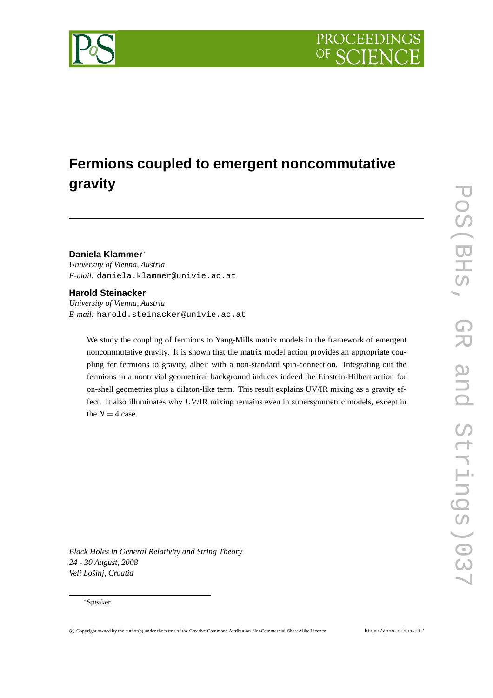# **Fermions coupled to emergent noncommutative gravity**

#### **Daniela Klammer**<sup>∗</sup>

*University of Vienna, Austria E-mail:* daniela.klammer@univie.ac.at

#### **Harold Steinacker**

*University of Vienna, Austria E-mail:* harold.steinacker@univie.ac.at

We study the coupling of fermions to Yang-Mills matrix models in the framework of emergent noncommutative gravity. It is shown that the matrix model action provides an appropriate coupling for fermions to gravity, albeit with a non-standard spin-connection. Integrating out the fermions in a nontrivial geometrical background induces indeed the Einstein-Hilbert action for on-shell geometries plus a dilaton-like term. This result explains UV/IR mixing as a gravity effect. It also illuminates why UV/IR mixing remains even in supersymmetric models, except in the  $N = 4$  case.

*Black Holes in General Relativity and String Theory 24 - 30 August, 2008 Veli Lošinj, Croatia*

#### <sup>∗</sup>Speaker.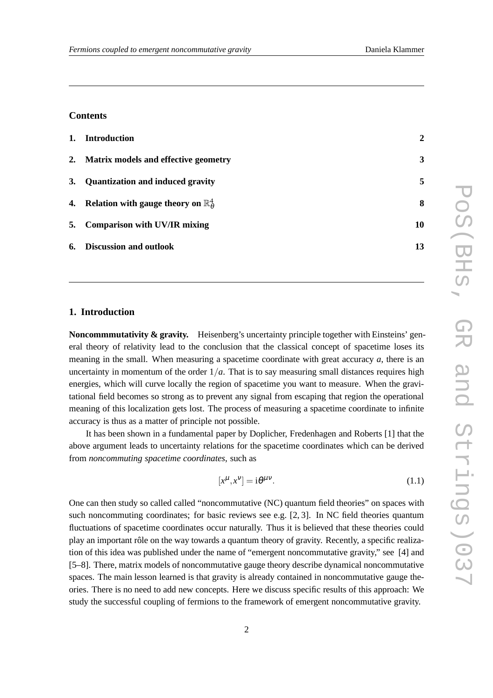### **Contents**

| 1. Introduction                                        | $\mathbf{2}$ |
|--------------------------------------------------------|--------------|
| 2. Matrix models and effective geometry                | 3            |
| 3. Quantization and induced gravity                    | 5            |
| 4. Relation with gauge theory on $\mathbb{R}^4_\theta$ | 8            |
| 5. Comparison with UV/IR mixing                        | 10           |
| 6. Discussion and outlook                              | 13           |

#### **1. Introduction**

**Noncommmutativity & gravity.** Heisenberg's uncertainty principle together with Einsteins' general theory of relativity lead to the conclusion that the classical concept of spacetime loses its meaning in the small. When measuring a spacetime coordinate with great accuracy *a*, there is an uncertainty in momentum of the order  $1/a$ . That is to say measuring small distances requires high energies, which will curve locally the region of spacetime you want to measure. When the gravitational field becomes so strong as to prevent any signal from escaping that region the operational meaning of this localization gets lost. The process of measuring a spacetime coordinate to infinite accuracy is thus as a matter of principle not possible.

It has been shown in a fundamental paper by Doplicher, Fredenhagen and Roberts [1] that the above argument leads to uncertainty relations for the spacetime coordinates which can be derived from *noncommuting spacetime coordinates*, such as

$$
[x^{\mu}, x^{\nu}] = i\theta^{\mu\nu}.
$$
 (1.1)

One can then study so called called "noncommutative (NC) quantum field theories" on spaces with such noncommuting coordinates; for basic reviews see e.g.  $[2, 3]$ . In NC field theories quantum fluctuations of spacetime coordinates occur naturally. Thus it is believed that these theories could play an important rôle on the way towards a quantum theory of gravity. Recently, a specific realization of this idea was published under the name of "emergent noncommutative gravity," see [4] and [5–8]. There, matrix models of noncommutative gauge theory describe dynamical noncommutative spaces. The main lesson learned is that gravity is already contained in noncommutative gauge theories. There is no need to add new concepts. Here we discuss specific results of this approach: We study the successful coupling of fermions to the framework of emergent noncommutative gravity.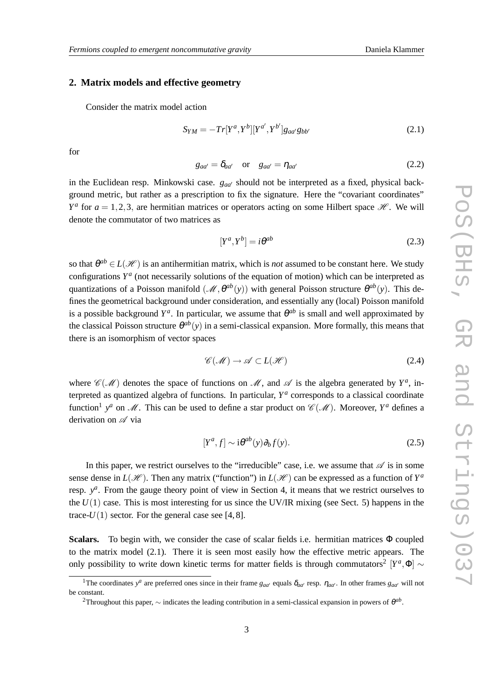#### **2. Matrix models and effective geometry**

Consider the matrix model action

$$
S_{YM} = -Tr[Y^{a}, Y^{b}][Y^{a'}, Y^{b'}]g_{aa'}g_{bb'} \qquad (2.1)
$$

for

$$
g_{aa'} = \delta_{aa'} \quad \text{or} \quad g_{aa'} = \eta_{aa'}
$$
 (2.2)

in the Euclidean resp. Minkowski case. *gaa*′ should not be interpreted as a fixed, physical background metric, but rather as a prescription to fix the signature. Here the "covariant coordinates"  $Y^a$  for  $a = 1, 2, 3$ , are hermitian matrices or operators acting on some Hilbert space  $\mathcal{H}$ . We will denote the commutator of two matrices as

$$
[Y^a, Y^b] = i\theta^{ab} \tag{2.3}
$$

so that  $\theta^{ab} \in L(\mathcal{H})$  is an antihermitian matrix, which is *not* assumed to be constant here. We study configurations  $Y^a$  (not necessarily solutions of the equation of motion) which can be interpreted as quantizations of a Poisson manifold  $(M, \theta^{ab}(y))$  with general Poisson structure  $\theta^{ab}(y)$ . This defines the geometrical background under consideration, and essentially any (local) Poisson manifold is a possible background  $Y^a$ . In particular, we assume that  $\theta^{ab}$  is small and well approximated by the classical Poisson structure  $\theta^{ab}(y)$  in a semi-classical expansion. More formally, this means that there is an isomorphism of vector spaces

$$
\mathscr{C}(\mathscr{M}) \to \mathscr{A} \subset L(\mathscr{H})
$$
\n
$$
(2.4)
$$

where  $\mathscr{C}(\mathscr{M})$  denotes the space of functions on  $\mathscr{M}$ , and  $\mathscr{A}$  is the algebra generated by  $Y^a$ , interpreted as quantized algebra of functions. In particular,  $Y^a$  corresponds to a classical coordinate function<sup>1</sup> y<sup>a</sup> on M. This can be used to define a star product on  $\mathscr{C}(\mathscr{M})$ . Moreover,  $Y^a$  defines a derivation on  $\mathscr A$  via

$$
[Y^a, f] \sim i\theta^{ab}(y)\partial_b f(y). \tag{2.5}
$$

In this paper, we restrict ourselves to the "irreducible" case, i.e. we assume that  $\mathscr A$  is in some sense dense in  $L(\mathcal{H})$ . Then any matrix ("function") in  $L(\mathcal{H})$  can be expressed as a function of  $Y^a$ resp.  $y^a$ . From the gauge theory point of view in Section 4, it means that we restrict ourselves to the  $U(1)$  case. This is most interesting for us since the UV/IR mixing (see Sect. 5) happens in the trace- $U(1)$  sector. For the general case see [4, 8].

**Scalars.** To begin with, we consider the case of scalar fields i.e. hermitian matrices Φ coupled to the matrix model (2.1). There it is seen most easily how the effective metric appears. The only possibility to write down kinetic terms for matter fields is through commutators<sup>2</sup>  $[Y^a, \Phi] \sim$ 

<sup>&</sup>lt;sup>1</sup>The coordinates  $y^a$  are preferred ones since in their frame  $g_{aa'}$  equals  $\delta_{aa'}$  resp.  $\eta_{aa'}$ . In other frames  $g_{aa'}$  will not be constant.

<sup>&</sup>lt;sup>2</sup>Throughout this paper, ∼ indicates the leading contribution in a semi-classical expansion in powers of θ<sup>ab</sup>.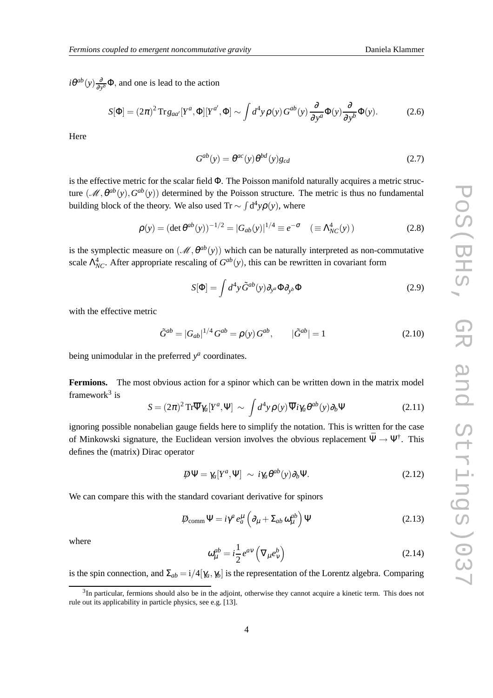$i\theta^{ab}(y) \frac{\partial}{\partial y}$  $\frac{\partial}{\partial y^b} \Phi$ , and one is lead to the action

$$
S[\Phi] = (2\pi)^2 \operatorname{Tr} g_{aa'}[Y^a, \Phi][Y^{a'}, \Phi] \sim \int d^4 y \rho(y) G^{ab}(y) \frac{\partial}{\partial y^a} \Phi(y) \frac{\partial}{\partial y^b} \Phi(y). \tag{2.6}
$$

Here

$$
G^{ab}(y) = \theta^{ac}(y)\theta^{bd}(y)g_{cd}
$$
\n(2.7)

is the effective metric for the scalar field Φ. The Poisson manifold naturally acquires a metric structure  $(M, \theta^{ab}(y), G^{ab}(y))$  determined by the Poisson structure. The metric is thus no fundamental building block of the theory. We also used Tr  $\sim \int d^4y \rho(y)$ , where

$$
\rho(y) = (\det \theta^{ab}(y))^{-1/2} = |G_{ab}(y)|^{1/4} \equiv e^{-\sigma} \quad (\equiv \Lambda_{NC}^4(y))
$$
 (2.8)

is the symplectic measure on  $(M, \theta^{ab}(y))$  which can be naturally interpreted as non-commutative scale  $\Lambda_{NC}^4$ . After appropriate rescaling of  $G^{ab}(y)$ , this can be rewritten in covariant form

$$
S[\Phi] = \int d^4 y \tilde{G}^{ab}(y) \partial_{y^a} \Phi \partial_{y^b} \Phi \qquad (2.9)
$$

with the effective metric

$$
\tilde{G}^{ab} = |G_{ab}|^{1/4} G^{ab} = \rho(y) G^{ab}, \qquad |\tilde{G}^{ab}| = 1
$$
\n(2.10)

being unimodular in the preferred  $y^a$  coordinates.

Fermions. The most obvious action for a spinor which can be written down in the matrix model framework<sup>3</sup> is

$$
S = (2\pi)^2 \operatorname{Tr} \overline{\Psi} \gamma_a [Y^a, \Psi] \sim \int d^4 y \rho(y) \overline{\Psi} i \gamma_a \theta^{ab}(y) \partial_b \Psi \qquad (2.11)
$$

ignoring possible nonabelian gauge fields here to simplify the notation. This is written for the case of Minkowski signature, the Euclidean version involves the obvious replacement  $\Psi \to \Psi^{\dagger}$ . This defines the (matrix) Dirac operator

$$
\mathcal{D}\Psi = \gamma_a[Y^a, \Psi] \sim i\gamma_a \theta^{ab}(y) \partial_b \Psi.
$$
 (2.12)

We can compare this with the standard covariant derivative for spinors

$$
\mathcal{D}_{\text{comm}}\Psi = i\gamma^a e_a^{\mu} \left(\partial_{\mu} + \Sigma_{ab} \omega_{\mu}^{ab}\right) \Psi
$$
\n(2.13)

where

$$
\omega_{\mu}^{ab} = i\frac{1}{2}e^{av}\left(\nabla_{\mu}e_{v}^{b}\right)
$$
\n(2.14)

is the spin connection, and  $\Sigma_{ab} = i/4[\gamma_a, \gamma_b]$  is the representation of the Lorentz algebra. Comparing

 $3$ In particular, fermions should also be in the adjoint, otherwise they cannot acquire a kinetic term. This does not rule out its applicability in particle physics, see e.g. [13].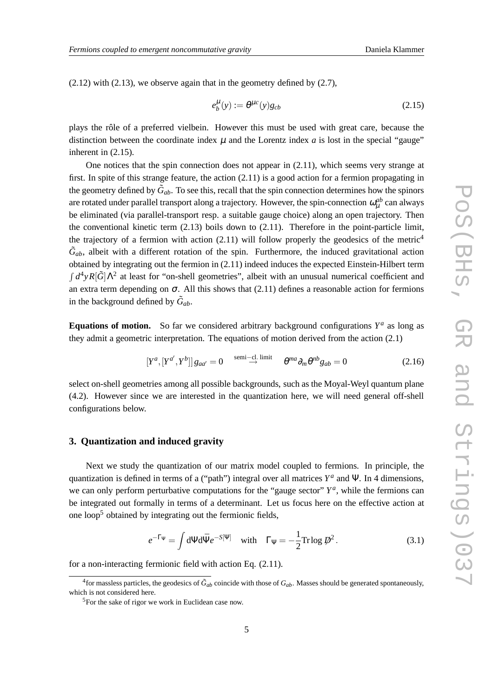(2.12) with (2.13), we observe again that in the geometry defined by (2.7),

$$
e_b^{\mu}(y) := \theta^{\mu c}(y)g_{cb} \tag{2.15}
$$

plays the rôle of a preferred vielbein. However this must be used with great care, because the distinction between the coordinate index  $\mu$  and the Lorentz index  $\alpha$  is lost in the special "gauge" inherent in (2.15).

One notices that the spin connection does not appear in (2.11), which seems very strange at first. In spite of this strange feature, the action (2.11) is a good action for a fermion propagating in the geometry defined by  $\tilde{G}_{ab}$ . To see this, recall that the spin connection determines how the spinors are rotated under parallel transport along a trajectory. However, the spin-connection  $\omega_{\mu}^{ab}$  can always be eliminated (via parallel-transport resp. a suitable gauge choice) along an open trajectory. Then the conventional kinetic term  $(2.13)$  boils down to  $(2.11)$ . Therefore in the point-particle limit, the trajectory of a fermion with action  $(2.11)$  will follow properly the geodesics of the metric<sup>4</sup>  $\tilde{G}_{ab}$ , albeit with a different rotation of the spin. Furthermore, the induced gravitational action obtained by integrating out the fermion in (2.11) indeed induces the expected Einstein-Hilbert term  $\int d^4y R[\tilde{G}] \Lambda^2$  at least for "on-shell geometries", albeit with an unusual numerical coefficient and an extra term depending on  $\sigma$ . All this shows that (2.11) defines a reasonable action for fermions in the background defined by  $\tilde{G}_{ab}$ .

**Equations of motion.** So far we considered arbitrary background configurations  $Y^a$  as long as they admit a geometric interpretation. The equations of motion derived from the action (2.1)

$$
[Y^a, [Y^{a'}, Y^b]]g_{aa'} = 0 \xrightarrow{\text{semi-cl. limit}} \theta^{ma} \partial_m \theta^{nb} g_{ab} = 0 \tag{2.16}
$$

select on-shell geometries among all possible backgrounds, such as the Moyal-Weyl quantum plane (4.2). However since we are interested in the quantization here, we will need general off-shell configurations below.

#### **3. Quantization and induced gravity**

Next we study the quantization of our matrix model coupled to fermions. In principle, the quantization is defined in terms of a ("path") integral over all matrices *Y a* and Ψ. In 4 dimensions, we can only perform perturbative computations for the "gauge sector"  $Y^a$ , while the fermions can be integrated out formally in terms of a determinant. Let us focus here on the effective action at one loop<sup>5</sup> obtained by integrating out the fermionic fields,

$$
e^{-\Gamma_{\Psi}} = \int d\Psi d\bar{\Psi} e^{-S[\Psi]} \quad \text{with} \quad \Gamma_{\Psi} = -\frac{1}{2} \text{Tr} \log \mathcal{P}^2. \tag{3.1}
$$

for a non-interacting fermionic field with action Eq. (2.11).

<sup>&</sup>lt;sup>4</sup> for massless particles, the geodesics of  $\tilde{G}_{ab}$  coincide with those of  $G_{ab}$ . Masses should be generated spontaneously, which is not considered here.

<sup>5</sup>For the sake of rigor we work in Euclidean case now.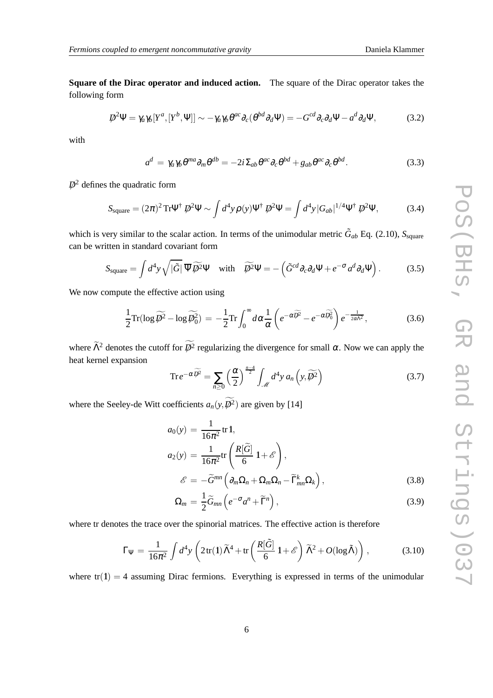**Square of the Dirac operator and induced action.** The square of the Dirac operator takes the following form

$$
\mathcal{D}^2 \Psi = \gamma_a \gamma_b [Y^a, [Y^b, \Psi]] \sim -\gamma_a \gamma_b \theta^{ac} \partial_c (\theta^{bd} \partial_d \Psi) = -G^{cd} \partial_c \partial_d \Psi - a^d \partial_d \Psi,
$$
(3.2)

with

$$
a^{d} = \gamma_{a}\gamma_{b}\theta^{ma}\partial_{m}\theta^{db} = -2i\Sigma_{ab}\theta^{ac}\partial_{c}\theta^{bd} + g_{ab}\theta^{ac}\partial_{c}\theta^{bd}.
$$
 (3.3)

 $\not\!\!\!D^2$  defines the quadratic form

$$
S_{\text{square}} = (2\pi)^2 \text{Tr} \Psi^\dagger \not\!\!D^2 \Psi \sim \int d^4 y \rho(y) \Psi^\dagger \not\!\!D^2 \Psi = \int d^4 y |G_{ab}|^{1/4} \Psi^\dagger \not\!\!D^2 \Psi,
$$
 (3.4)

which is very similar to the scalar action. In terms of the unimodular metric  $\tilde{G}_{ab}$  Eq. (2.10),  $S_{square}$ can be written in standard covariant form

$$
S_{\text{square}} = \int d^4 y \sqrt{|\tilde{G}|} \, \overline{\Psi} \, \widetilde{\mathcal{D}}^2 \Psi \quad \text{with} \quad \widetilde{\mathcal{D}}^2 \Psi = -\left(\tilde{G}^{cd} \partial_c \partial_d \Psi + e^{-\sigma} a^d \partial_d \Psi\right). \tag{3.5}
$$

We now compute the effective action using

$$
\frac{1}{2}\mathrm{Tr}(\log \widetilde{\mathcal{P}}^2 - \log \widetilde{\mathcal{P}}_0^2) = -\frac{1}{2}\mathrm{Tr} \int_0^\infty d\alpha \frac{1}{\alpha} \left( e^{-\alpha \widetilde{\mathcal{P}}^2} - e^{-\alpha \widetilde{\mathcal{P}}_0^2} \right) e^{-\frac{1}{2\alpha \widetilde{\Lambda}^2}},\tag{3.6}
$$

where  $\tilde{\Lambda}^2$  denotes the cutoff for  $D^2$  regularizing the divergence for small  $\alpha$ . Now we can apply the heat kernel expansion

$$
\operatorname{Tr} e^{-\alpha \widetilde{D}^2} = \sum_{n\geq 0} \left(\frac{\alpha}{2}\right)^{\frac{n-4}{2}} \int_{\mathcal{M}} d^4 y \, a_n \left(y, \widetilde{D}^2\right) \tag{3.7}
$$

where the Seeley-de Witt coefficients  $a_n(y, \mathcal{P}^2)$  are given by [14]

$$
a_0(y) = \frac{1}{16\pi^2} tr 1,
$$
  
\n
$$
a_2(y) = \frac{1}{16\pi^2} tr\left(\frac{R[\tilde{G}]}{6} 1 + \mathcal{E}\right),
$$
  
\n
$$
\mathcal{E} = -\tilde{G}^{mn} (\partial \Omega + \Omega \Omega - \tilde{\Gamma}^k \Omega)
$$
 (3.8)

$$
\mathscr{E} = -\widetilde{G}^{mn} \left( \partial_m \Omega_n + \Omega_m \Omega_n - \widetilde{\Gamma}^k_{mn} \Omega_k \right),\tag{3.8}
$$

$$
\Omega_m = \frac{1}{2}\widetilde{G}_{mn}\left(e^{-\sigma}a^n + \widetilde{\Gamma}^n\right),\tag{3.9}
$$

where tr denotes the trace over the spinorial matrices. The effective action is therefore

$$
\Gamma_{\Psi} = \frac{1}{16\pi^2} \int d^4 y \left( 2 \operatorname{tr}(\mathbf{1}) \widetilde{\Lambda}^4 + \operatorname{tr} \left( \frac{R[\widetilde{G}]}{6} \mathbf{1} + \mathscr{E} \right) \widetilde{\Lambda}^2 + O(\log \widetilde{\Lambda}) \right), \tag{3.10}
$$

where  $tr(1) = 4$  assuming Dirac fermions. Everything is expressed in terms of the unimodular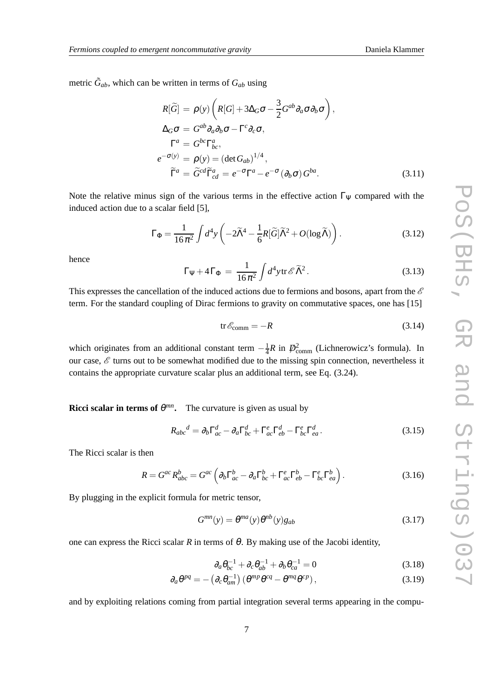metric  $\tilde{G}_{ab}$ , which can be written in terms of  $G_{ab}$  using

$$
R[\tilde{G}] = \rho(y) \left( R[G] + 3\Delta_G \sigma - \frac{3}{2} G^{ab} \partial_a \sigma \partial_b \sigma \right),
$$
  
\n
$$
\Delta_G \sigma = G^{ab} \partial_a \partial_b \sigma - \Gamma^c \partial_c \sigma,
$$
  
\n
$$
\Gamma^a = G^{bc} \Gamma^a_{bc},
$$
  
\n
$$
e^{-\sigma(y)} = \rho(y) = (\det G_{ab})^{1/4},
$$
  
\n
$$
\tilde{\Gamma}^a = \tilde{G}^{cd} \tilde{\Gamma}^a_{cd} = e^{-\sigma} \Gamma^a - e^{-\sigma} (\partial_b \sigma) G^{ba}.
$$
\n(3.11)

Note the relative minus sign of the various terms in the effective action  $\Gamma_{\Psi}$  compared with the induced action due to a scalar field [5],

$$
\Gamma_{\Phi} = \frac{1}{16\pi^2} \int d^4 y \left( -2\tilde{\Lambda}^4 - \frac{1}{6} R[\tilde{G}] \tilde{\Lambda}^2 + O(\log \tilde{\Lambda}) \right). \tag{3.12}
$$

hence

$$
\Gamma \Psi + 4 \Gamma_{\Phi} = \frac{1}{16 \pi^2} \int d^4 y \, \text{tr} \,\mathcal{E} \, \widetilde{\Lambda}^2. \tag{3.13}
$$

This expresses the cancellation of the induced actions due to fermions and bosons, apart from the  $\mathscr E$ term. For the standard coupling of Dirac fermions to gravity on commutative spaces, one has [15]

$$
\text{tr}\,\mathscr{E}_{\text{comm}} = -R\tag{3.14}
$$

which originates from an additional constant term  $-\frac{1}{4}$  $\frac{1}{4}R$  in  $\mathcal{D}_{\text{comm}}^2$  (Lichnerowicz's formula). In our case,  $\mathcal{E}$  turns out to be somewhat modified due to the missing spin connection, nevertheless it contains the appropriate curvature scalar plus an additional term, see Eq. (3.24).

**Ricci scalar in terms of**  $\theta^{mn}$ **.** The curvature is given as usual by

$$
R_{abc}{}^d = \partial_b \Gamma^d_{ac} - \partial_a \Gamma^d_{bc} + \Gamma^e_{ac} \Gamma^d_{eb} - \Gamma^e_{bc} \Gamma^d_{ea}.
$$
 (3.15)

The Ricci scalar is then

$$
R = G^{ac} R_{abc}^b = G^{ac} \left( \partial_b \Gamma_{ac}^b - \partial_a \Gamma_{bc}^b + \Gamma_{ac}^e \Gamma_{eb}^b - \Gamma_{bc}^e \Gamma_{ea}^b \right). \tag{3.16}
$$

By plugging in the explicit formula for metric tensor,

$$
G^{mn}(y) = \theta^{ma}(y)\theta^{nb}(y)g_{ab}
$$
\n(3.17)

one can express the Ricci scalar  $R$  in terms of  $\theta$ . By making use of the Jacobi identity,

$$
\partial_a \theta_{bc}^{-1} + \partial_c \theta_{ab}^{-1} + \partial_b \theta_{ca}^{-1} = 0 \tag{3.18}
$$

$$
\partial_a \theta^{pq} = - \left( \partial_c \theta_{am}^{-1} \right) \left( \theta^{mp} \theta^{cq} - \theta^{mq} \theta^{cp} \right), \tag{3.19}
$$

and by exploiting relations coming from partial integration several terms appearing in the compu-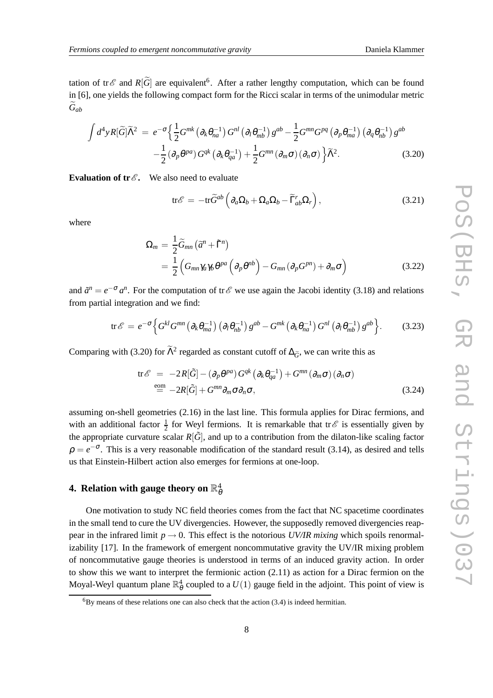tation of tr $\mathscr E$  and  $R[\widetilde{G}]$  are equivalent<sup>6</sup>. After a rather lengthy computation, which can be found in [6], one yields the following compact form for the Ricci scalar in terms of the unimodular metric *G*e*ab*

$$
\int d^4 y R[\widetilde{G}]\widetilde{\Lambda}^2 = e^{-\sigma} \Big\{ \frac{1}{2} G^{mk} \left( \partial_k \theta_{na}^{-1} \right) G^{nl} \left( \partial_l \theta_{mb}^{-1} \right) g^{ab} - \frac{1}{2} G^{mn} G^{pq} \left( \partial_p \theta_{ma}^{-1} \right) \left( \partial_q \theta_{nb}^{-1} \right) g^{ab} - \frac{1}{2} \left( \partial_p \theta^{pq} \right) G^{qk} \left( \partial_k \theta_{qa}^{-1} \right) + \frac{1}{2} G^{mn} \left( \partial_m \sigma \right) \left( \partial_n \sigma \right) \Big\} \widetilde{\Lambda}^2. \tag{3.20}
$$

**Evaluation of tr** $\mathscr{E}$ **. We also need to evaluate** 

$$
\text{tr}\mathscr{E} = -\text{tr}\widetilde{G}^{ab}\left(\partial_a\Omega_b + \Omega_a\Omega_b - \widetilde{\Gamma}_{ab}^r\Omega_r\right),\tag{3.21}
$$

where

$$
\Omega_m = \frac{1}{2} \widetilde{G}_{mn} \left( \widetilde{a}^n + \widetilde{\Gamma}^n \right)
$$
  
= 
$$
\frac{1}{2} \left( G_{mn} \gamma_a \gamma_b \theta^{pa} \left( \partial_p \theta^{nb} \right) - G_{mn} \left( \partial_p G^{pn} \right) + \partial_m \sigma \right)
$$
 (3.22)

and  $\tilde{a}^n = e^{-\sigma} a^n$ . For the computation of tr $\mathscr E$  we use again the Jacobi identity (3.18) and relations from partial integration and we find:

$$
\text{tr}\,\mathscr{E} = e^{-\sigma} \Big\{ G^{kl} G^{mn} \left( \partial_k \theta_{ma}^{-1} \right) \left( \partial_l \theta_{nb}^{-1} \right) g^{ab} - G^{mk} \left( \partial_k \theta_{na}^{-1} \right) G^{nl} \left( \partial_l \theta_{mb}^{-1} \right) g^{ab} \Big\}.
$$
 (3.23)

Comparing with (3.20) for  $\tilde{\Lambda}^2$  regarded as constant cutoff of  $\Delta_{\tilde{G}}$ , we can write this as

$$
\text{tr}\,\mathscr{E} = -2R[\tilde{G}] - (\partial_p \theta^{pa}) G^{qk} (\partial_k \theta_{qa}^{-1}) + G^{mn} (\partial_m \sigma) (\partial_n \sigma)
$$
  

$$
\stackrel{\text{eom}}{=} -2R[\tilde{G}] + G^{mn} \partial_m \sigma \partial_n \sigma,
$$
 (3.24)

assuming on-shell geometries (2.16) in the last line. This formula applies for Dirac fermions, and with an additional factor  $\frac{1}{2}$  for Weyl fermions. It is remarkable that tr $\mathscr E$  is essentially given by the appropriate curvature scalar  $R[\tilde{G}]$ , and up to a contribution from the dilaton-like scaling factor  $\rho = e^{-\sigma}$ . This is a very reasonable modification of the standard result (3.14), as desired and tells us that Einstein-Hilbert action also emerges for fermions at one-loop.

## 4. Relation with gauge theory on  $\mathbb{R}^4_\theta$

One motivation to study NC field theories comes from the fact that NC spacetime coordinates in the small tend to cure the UV divergencies. However, the supposedly removed divergencies reappear in the infrared limit  $p \rightarrow 0$ . This effect is the notorious *UV/IR mixing* which spoils renormalizability [17]. In the framework of emergent noncommutative gravity the UV/IR mixing problem of noncommutative gauge theories is understood in terms of an induced gravity action. In order to show this we want to interpret the fermionic action (2.11) as action for a Dirac fermion on the Moyal-Weyl quantum plane  $\mathbb{R}^4_\theta$  coupled to a  $U(1)$  gauge field in the adjoint. This point of view is

 ${}^{6}$ By means of these relations one can also check that the action (3.4) is indeed hermitian.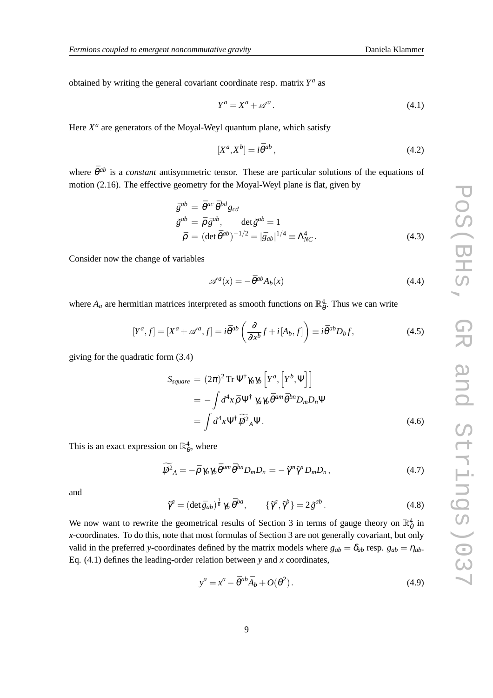obtained by writing the general covariant coordinate resp. matrix *Y a* as

$$
Y^a = X^a + \mathscr{A}^a. \tag{4.1}
$$

Here  $X^a$  are generators of the Moyal-Weyl quantum plane, which satisfy

$$
[X^a, X^b] = i\bar{\theta}^{ab} \,,\tag{4.2}
$$

where  $\bar{\theta}^{ab}$  is a *constant* antisymmetric tensor. These are particular solutions of the equations of motion (2.16). The effective geometry for the Moyal-Weyl plane is flat, given by

$$
\bar{g}^{ab} = \bar{\theta}^{ac} \bar{\theta}^{bd} g_{cd}
$$
  
\n
$$
\tilde{g}^{ab} = \bar{\rho} \bar{g}^{ab}, \qquad \det \tilde{g}^{ab} = 1
$$
  
\n
$$
\bar{\rho} = (\det \bar{\theta}^{ab})^{-1/2} = |\bar{g}_{ab}|^{1/4} \equiv \Lambda_{NC}^4.
$$
\n(4.3)

Consider now the change of variables

$$
\mathscr{A}^a(x) = -\bar{\theta}^{ab} A_b(x) \tag{4.4}
$$

where  $A_a$  are hermitian matrices interpreted as smooth functions on  $\mathbb{R}^4_{\bar{\theta}}$ . Thus we can write

$$
[Y^a, f] = [X^a + \mathscr{A}^a, f] = i\bar{\theta}^{ab} \left( \frac{\partial}{\partial x^b} f + i[A_b, f] \right) \equiv i\bar{\theta}^{ab} D_b f,\tag{4.5}
$$

giving for the quadratic form (3.4)

$$
S_{square} = (2\pi)^2 \operatorname{Tr} \Psi^{\dagger} \gamma_a \gamma_b \left[ Y^a, \left[ Y^b, \Psi \right] \right]
$$
  
=  $-\int d^4x \bar{\rho} \Psi^{\dagger} \gamma_a \gamma_b \bar{\theta}^{am} \bar{\theta}^{bn} D_m D_n \Psi$   
=  $\int d^4x \Psi^{\dagger} \widetilde{\psi}^2_A \Psi$ . (4.6)

This is an exact expression on  $\mathbb{R}^4_\theta$ , where

$$
\widetilde{\varphi}^2{}_A = -\bar{\rho} \gamma_a \gamma_b \bar{\theta}^{am} \bar{\theta}^{bn} D_m D_n = -\tilde{\gamma}^m \tilde{\gamma}^n D_m D_n, \qquad (4.7)
$$

and

$$
\tilde{\gamma}^a = (\det \bar{g}_{ab})^{\frac{1}{8}} \gamma_b \bar{\theta}^{ba}, \qquad {\{\tilde{\gamma}^a, \tilde{\gamma}^b\}} = 2 \tilde{g}^{ab}.
$$
\n(4.8)

We now want to rewrite the geometrical results of Section 3 in terms of gauge theory on  $\mathbb{R}^4_\theta$  in *x*-coordinates. To do this, note that most formulas of Section 3 are not generally covariant, but only valid in the preferred *y*-coordinates defined by the matrix models where  $g_{ab} = \delta_{ab}$  resp.  $g_{ab} = \eta_{ab}$ . Eq. (4.1) defines the leading-order relation between *y* and *x* coordinates,

$$
y^a = x^a - \bar{\theta}^{ab}\bar{A}_b + O(\theta^2). \tag{4.9}
$$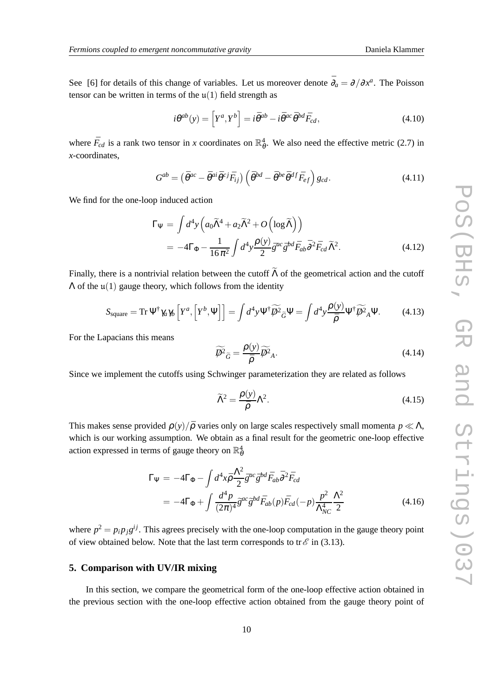See [6] for details of this change of variables. Let us moreover denote  $\bar{\partial}_a = \partial/\partial x^a$ . The Poisson tensor can be written in terms of the  $\mu(1)$  field strength as

$$
i\theta^{ab}(y) = \left[Y^a, Y^b\right] = i\bar{\theta}^{ab} - i\bar{\theta}^{ac}\bar{\theta}^{bd}\bar{F}_{cd},\tag{4.10}
$$

where  $\bar{F}_{cd}$  is a rank two tensor in *x* coordinates on  $\mathbb{R}^4_{\theta}$ . We also need the effective metric (2.7) in *x*-coordinates,

$$
G^{ab} = \left(\bar{\theta}^{ac} - \bar{\theta}^{ai}\bar{\theta}^{cj}\bar{F}_{ij}\right)\left(\bar{\theta}^{bd} - \bar{\theta}^{be}\bar{\theta}^{df}\bar{F}_{ef}\right)g_{cd}.
$$
\n(4.11)

We find for the one-loop induced action

$$
\Gamma_{\Psi} = \int d^4 y \left( a_0 \widetilde{\Lambda}^4 + a_2 \widetilde{\Lambda}^2 + O\left( \log \widetilde{\Lambda} \right) \right)
$$
  
= 
$$
-4\Gamma_{\Phi} - \frac{1}{16\pi^2} \int d^4 y \frac{\rho(y)}{2} \bar{g}^{ac} \bar{g}^{bd} \bar{F}_{ab} \bar{\partial}^2 \bar{F}_{cd} \widetilde{\Lambda}^2.
$$
 (4.12)

Finally, there is a nontrivial relation between the cutoff  $\widetilde{\Lambda}$  of the geometrical action and the cutoff  $\Lambda$  of the  $\mu(1)$  gauge theory, which follows from the identity

$$
S_{\text{square}} = \text{Tr} \, \Psi^{\dagger} \gamma_a \gamma_b \left[ Y^a, \left[ Y^b, \Psi \right] \right] = \int d^4 y \Psi^{\dagger} \widetilde{\phi^2}_{\widetilde{G}} \Psi = \int d^4 y \frac{\rho(y)}{\bar{\rho}} \Psi^{\dagger} \widetilde{\phi^2}_{A} \Psi. \tag{4.13}
$$

For the Lapacians this means

$$
\widetilde{\psi^2}_{\widetilde{G}} = \frac{\rho(y)}{\bar{\rho}} \widetilde{\psi^2}_{A}.
$$
\n(4.14)

Since we implement the cutoffs using Schwinger parameterization they are related as follows

$$
\widetilde{\Lambda}^2 = \frac{\rho(y)}{\bar{\rho}} \Lambda^2. \tag{4.15}
$$

This makes sense provided  $\rho(y)/\bar{\rho}$  varies only on large scales respectively small momenta  $p \ll \Lambda$ , which is our working assumption. We obtain as a final result for the geometric one-loop effective action expressed in terms of gauge theory on  $\mathbb{R}^4_\theta$ 

$$
\Gamma_{\Psi} = -4\Gamma_{\Phi} - \int d^4x \bar{\rho} \frac{\Lambda^2}{2} \bar{g}^{ac} \bar{g}^{bd} \bar{F}_{ab} \bar{\partial}^2 \bar{F}_{cd} \n= -4\Gamma_{\Phi} + \int \frac{d^4p}{(2\pi)^4} \bar{g}^{ac} \bar{g}^{bd} \bar{F}_{ab}(p) \bar{F}_{cd}(-p) \frac{p^2}{\Lambda_{NC}^4} \frac{\Lambda^2}{2}
$$
\n(4.16)

where  $p^2 = p_i p_j g^{ij}$ . This agrees precisely with the one-loop computation in the gauge theory point of view obtained below. Note that the last term corresponds to tr $\mathcal E$  in (3.13).

#### **5. Comparison with UV/IR mixing**

In this section, we compare the geometrical form of the one-loop effective action obtained in the previous section with the one-loop effective action obtained from the gauge theory point of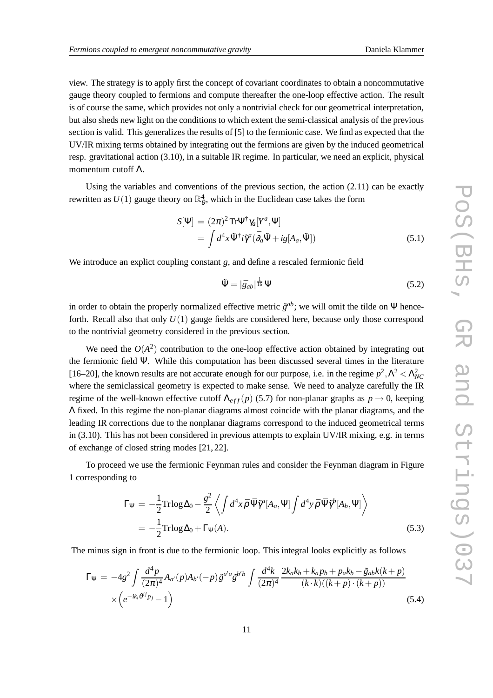view. The strategy is to apply first the concept of covariant coordinates to obtain a noncommutative gauge theory coupled to fermions and compute thereafter the one-loop effective action. The result is of course the same, which provides not only a nontrivial check for our geometrical interpretation, but also sheds new light on the conditions to which extent the semi-classical analysis of the previous section is valid. This generalizes the results of [5] to the fermionic case. We find as expected that the UV/IR mixing terms obtained by integrating out the fermions are given by the induced geometrical resp. gravitational action (3.10), in a suitable IR regime. In particular, we need an explicit, physical momentum cutoff Λ.

Using the variables and conventions of the previous section, the action  $(2.11)$  can be exactly rewritten as  $U(1)$  gauge theory on  $\mathbb{R}^4_\theta$ , which in the Euclidean case takes the form

$$
S[\Psi] = (2\pi)^2 \operatorname{Tr} \Psi^{\dagger} \gamma_a [Y^a, \Psi]
$$
  
= 
$$
\int d^4 x \tilde{\Psi}^{\dagger} i \tilde{\gamma}^a (\bar{\partial}_a \tilde{\Psi} + ig[A_a, \tilde{\Psi}])
$$
 (5.1)

We introduce an explict coupling constant *g*, and define a rescaled fermionic field

$$
\tilde{\Psi} = |\bar{g}_{ab}|^{\frac{1}{16}} \Psi \tag{5.2}
$$

in order to obtain the properly normalized effective metric  $\tilde{g}^{ab}$ ; we will omit the tilde on  $\Psi$  henceforth. Recall also that only *U*(1) gauge fields are considered here, because only those correspond to the nontrivial geometry considered in the previous section.

We need the  $O(A^2)$  contribution to the one-loop effective action obtained by integrating out the fermionic field Ψ. While this computation has been discussed several times in the literature [16–20], the known results are not accurate enough for our purpose, i.e. in the regime  $p^2$ ,  $\Lambda^2 < \Lambda_{NC}^2$ where the semiclassical geometry is expected to make sense. We need to analyze carefully the IR regime of the well-known effective cutoff  $\Lambda_{eff}(p)$  (5.7) for non-planar graphs as  $p \to 0$ , keeping Λ fixed. In this regime the non-planar diagrams almost coincide with the planar diagrams, and the leading IR corrections due to the nonplanar diagrams correspond to the induced geometrical terms in (3.10). This has not been considered in previous attempts to explain UV/IR mixing, e.g. in terms of exchange of closed string modes [21, 22].

To proceed we use the fermionic Feynman rules and consider the Feynman diagram in Figure 1 corresponding to

$$
\Gamma_{\Psi} = -\frac{1}{2} \text{Tr} \log \Delta_0 - \frac{g^2}{2} \left\langle \int d^4 x \bar{\rho} \, \bar{\Psi} \tilde{\gamma}^a [A_a, \Psi] \int d^4 y \bar{\rho} \, \bar{\Psi} \tilde{\gamma}^b [A_b, \Psi] \right\rangle
$$
  
= 
$$
-\frac{1}{2} \text{Tr} \log \Delta_0 + \Gamma_{\Psi}(A). \tag{5.3}
$$

The minus sign in front is due to the fermionic loop. This integral looks explicitly as follows

$$
\Gamma_{\Psi} = -4g^2 \int \frac{d^4 p}{(2\pi)^4} A_{a'}(p) A_{b'}(-p) \tilde{g}^{a'a} \tilde{g}^{b'b} \int \frac{d^4 k}{(2\pi)^4} \frac{2k_a k_b + k_a p_b + p_a k_b - \tilde{g}_{ab} k(k+p)}{(k \cdot k)((k+p) \cdot (k+p))} \times \left(e^{-ik_i \theta^{ij} p_j} - 1\right)
$$
\n(5.4)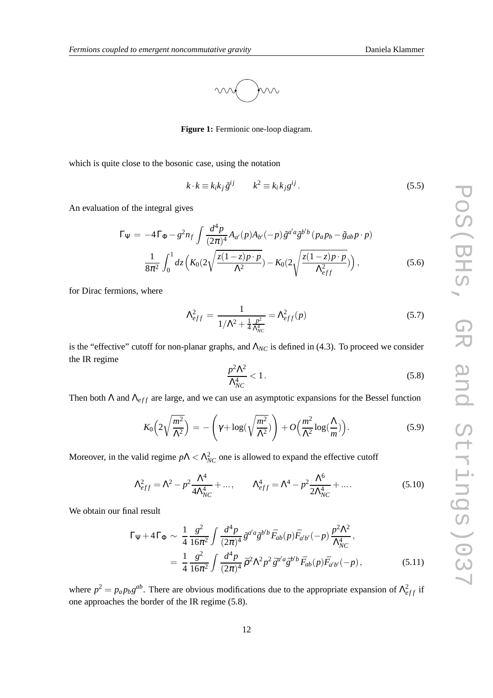

**Figure 1:** Fermionic one-loop diagram.

which is quite close to the bosonic case, using the notation

$$
k \cdot k \equiv k_i k_j \tilde{g}^{ij} \qquad k^2 \equiv k_i k_j g^{ij} \,. \tag{5.5}
$$

An evaluation of the integral gives

$$
\Gamma_{\Psi} = -4\Gamma_{\Phi} - g^2 n_f \int \frac{d^4 p}{(2\pi)^4} A_{a'}(p) A_{b'}(-p) \tilde{g}^{a'a} \tilde{g}^{b'b} (p_a p_b - \tilde{g}_{ab} p \cdot p)
$$

$$
\frac{1}{8\pi^2} \int_0^1 dz \left( K_0(2\sqrt{\frac{z(1-z)p \cdot p}{\Lambda^2}}) - K_0(2\sqrt{\frac{z(1-z)p \cdot p}{\Lambda_{eff}^2}}) \right), \tag{5.6}
$$

for Dirac fermions, where

$$
\Lambda_{eff}^2 = \frac{1}{1/\Lambda^2 + \frac{1}{4} \frac{p^2}{\Lambda_{NC}^4}} = \Lambda_{eff}^2(p) \tag{5.7}
$$

is the "effective" cutoff for non-planar graphs, and  $\Lambda_{NC}$  is defined in (4.3). To proceed we consider the IR regime

$$
\frac{p^2\Lambda^2}{\Lambda_{NC}^4} < 1. \tag{5.8}
$$

Then both  $\Lambda$  and  $\Lambda$ <sub>eff</sub> are large, and we can use an asymptotic expansions for the Bessel function

$$
K_0\left(2\sqrt{\frac{m^2}{\Lambda^2}}\right) = -\left(\gamma + \log\left(\sqrt{\frac{m^2}{\Lambda^2}}\right)\right) + O\left(\frac{m^2}{\Lambda^2}\log\left(\frac{\Lambda}{m}\right)\right). \tag{5.9}
$$

Moreover, in the valid regime  $p\Lambda < \Lambda_{NC}^2$  one is allowed to expand the effective cutoff

$$
\Lambda_{eff}^{2} = \Lambda^{2} - p^{2} \frac{\Lambda^{4}}{4\Lambda_{NC}^{4}} + ..., \qquad \Lambda_{eff}^{4} = \Lambda^{4} - p^{2} \frac{\Lambda^{6}}{2\Lambda_{NC}^{4}} + .... \qquad (5.10)
$$

We obtain our final result

$$
\Gamma_{\Psi} + 4\Gamma_{\Phi} \sim \frac{1}{4} \frac{g^2}{16\pi^2} \int \frac{d^4 p}{(2\pi)^4} \tilde{g}^{a'a} \tilde{g}^{b'b} \bar{F}_{ab}(p) \bar{F}_{a'b'}(-p) \frac{p^2 \Lambda^2}{\Lambda_{NC}^4},
$$
  
= 
$$
\frac{1}{4} \frac{g^2}{16\pi^2} \int \frac{d^4 p}{(2\pi)^4} \bar{p}^2 \Lambda^2 p^2 \bar{g}^{a'a} \bar{g}^{b'b} \bar{F}_{ab}(p) \bar{F}_{a'b'}(-p),
$$
(5.11)

where  $p^2 = p_a p_b g^{ab}$ . There are obvious modifications due to the appropriate expansion of  $\Lambda^2_{eff}$  if one approaches the border of the IR regime (5.8).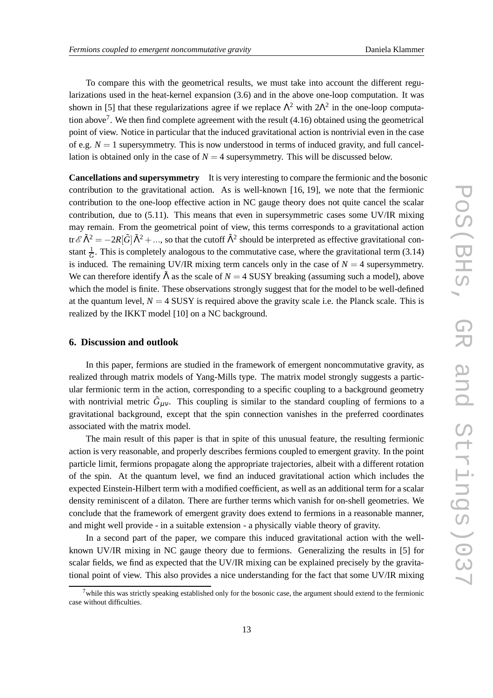To compare this with the geometrical results, we must take into account the different regularizations used in the heat-kernel expansion (3.6) and in the above one-loop computation. It was shown in [5] that these regularizations agree if we replace  $\Lambda^2$  with  $2\Lambda^2$  in the one-loop computation above<sup>7</sup>. We then find complete agreement with the result  $(4.16)$  obtained using the geometrical point of view. Notice in particular that the induced gravitational action is nontrivial even in the case of e.g.  $N = 1$  supersymmetry. This is now understood in terms of induced gravity, and full cancellation is obtained only in the case of  $N = 4$  supersymmetry. This will be discussed below.

**Cancellations and supersymmetry** It is very interesting to compare the fermionic and the bosonic contribution to the gravitational action. As is well-known [16, 19], we note that the fermionic contribution to the one-loop effective action in NC gauge theory does not quite cancel the scalar contribution, due to (5.11). This means that even in supersymmetric cases some UV/IR mixing may remain. From the geometrical point of view, this terms corresponds to a gravitational action tr $\mathscr{E}\tilde{\Lambda}^2 = -2R[\tilde{G}]\tilde{\Lambda}^2 + ...$ , so that the cutoff  $\tilde{\Lambda}^2$  should be interpreted as effective gravitational constant  $\frac{1}{G}$ . This is completely analogous to the commutative case, where the gravitational term (3.14) is induced. The remaining UV/IR mixing term cancels only in the case of  $N = 4$  supersymmetry. We can therefore identify  $\tilde{\Lambda}$  as the scale of  $N = 4$  SUSY breaking (assuming such a model), above which the model is finite. These observations strongly suggest that for the model to be well-defined at the quantum level,  $N = 4$  SUSY is required above the gravity scale i.e. the Planck scale. This is realized by the IKKT model [10] on a NC background.

#### **6. Discussion and outlook**

In this paper, fermions are studied in the framework of emergent noncommutative gravity, as realized through matrix models of Yang-Mills type. The matrix model strongly suggests a particular fermionic term in the action, corresponding to a specific coupling to a background geometry with nontrivial metric  $\tilde{G}_{\mu\nu}$ . This coupling is similar to the standard coupling of fermions to a gravitational background, except that the spin connection vanishes in the preferred coordinates associated with the matrix model.

The main result of this paper is that in spite of this unusual feature, the resulting fermionic action is very reasonable, and properly describes fermions coupled to emergent gravity. In the point particle limit, fermions propagate along the appropriate trajectories, albeit with a different rotation of the spin. At the quantum level, we find an induced gravitational action which includes the expected Einstein-Hilbert term with a modified coefficient, as well as an additional term for a scalar density reminiscent of a dilaton. There are further terms which vanish for on-shell geometries. We conclude that the framework of emergent gravity does extend to fermions in a reasonable manner, and might well provide - in a suitable extension - a physically viable theory of gravity.

In a second part of the paper, we compare this induced gravitational action with the wellknown UV/IR mixing in NC gauge theory due to fermions. Generalizing the results in [5] for scalar fields, we find as expected that the UV/IR mixing can be explained precisely by the gravitational point of view. This also provides a nice understanding for the fact that some UV/IR mixing

 $7$  while this was strictly speaking established only for the bosonic case, the argument should extend to the fermionic case without difficulties.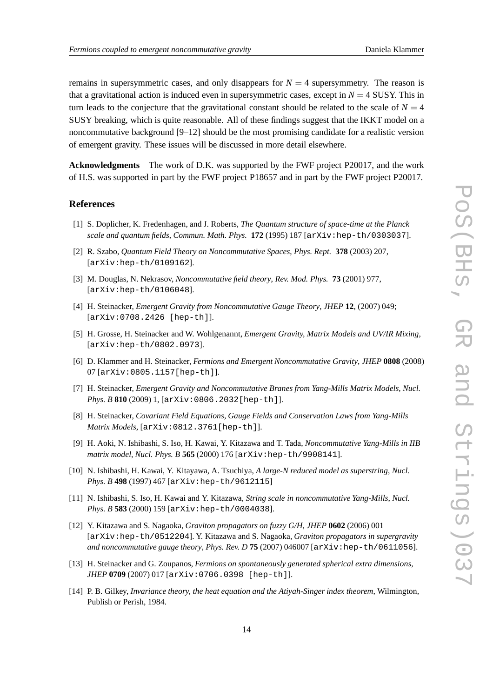remains in supersymmetric cases, and only disappears for  $N = 4$  supersymmetry. The reason is that a gravitational action is induced even in supersymmetric cases, except in  $N = 4$  SUSY. This in turn leads to the conjecture that the gravitational constant should be related to the scale of  $N = 4$ SUSY breaking, which is quite reasonable. All of these findings suggest that the IKKT model on a noncommutative background [9–12] should be the most promising candidate for a realistic version of emergent gravity. These issues will be discussed in more detail elsewhere.

**Acknowledgments** The work of D.K. was supported by the FWF project P20017, and the work of H.S. was supported in part by the FWF project P18657 and in part by the FWF project P20017.

#### **References**

- [1] S. Doplicher, K. Fredenhagen, and J. Roberts, *The Quantum structure of space-time at the Planck scale and quantum fields*, *Commun. Math. Phys.* **172** (1995) 187 [arXiv:hep-th/0303037].
- [2] R. Szabo, *Quantum Field Theory on Noncommutative Spaces*, *Phys. Rept.* **378** (2003) 207, [arXiv:hep-th/0109162].
- [3] M. Douglas, N. Nekrasov, *Noncommutative field theory*, *Rev. Mod. Phys.* **73** (2001) 977, [arXiv:hep-th/0106048].
- [4] H. Steinacker, *Emergent Gravity from Noncommutative Gauge Theory*, *JHEP* **12**, (2007) 049; [arXiv:0708.2426 [hep-th]].
- [5] H. Grosse, H. Steinacker and W. Wohlgenannt, *Emergent Gravity, Matrix Models and UV/IR Mixing*, [arXiv:hep-th/0802.0973].
- [6] D. Klammer and H. Steinacker, *Fermions and Emergent Noncommutative Gravity*, *JHEP* **0808** (2008) 07 [arXiv:0805.1157[hep-th]].
- [7] H. Steinacker, *Emergent Gravity and Noncommutative Branes from Yang-Mills Matrix Models*, *Nucl. Phys. B* **810** (2009) 1, [arXiv:0806.2032[hep-th]].
- [8] H. Steinacker, *Covariant Field Equations, Gauge Fields and Conservation Laws from Yang-Mills Matrix Models*, [arXiv:0812.3761[hep-th]].
- [9] H. Aoki, N. Ishibashi, S. Iso, H. Kawai, Y. Kitazawa and T. Tada, *Noncommutative Yang-Mills in IIB matrix model*, *Nucl. Phys. B* **565** (2000) 176 [arXiv:hep-th/9908141].
- [10] N. Ishibashi, H. Kawai, Y. Kitayawa, A. Tsuchiya, *A large-N reduced model as superstring*, *Nucl. Phys. B* **498** (1997) 467 [arXiv:hep-th/9612115]
- [11] N. Ishibashi, S. Iso, H. Kawai and Y. Kitazawa, *String scale in noncommutative Yang-Mills*, *Nucl. Phys. B* **583** (2000) 159 [arXiv:hep-th/0004038].
- [12] Y. Kitazawa and S. Nagaoka, *Graviton propagators on fuzzy G/H*, *JHEP* **0602** (2006) 001 [arXiv:hep-th/0512204]. Y. Kitazawa and S. Nagaoka, *Graviton propagators in supergravity and noncommutative gauge theory*, *Phys. Rev. D* **75** (2007) 046007 [arXiv:hep-th/0611056].
- [13] H. Steinacker and G. Zoupanos, *Fermions on spontaneously generated spherical extra dimensions*, *JHEP* **0709** (2007) 017 [arXiv:0706.0398 [hep-th]].
- [14] P. B. Gilkey, *Invariance theory, the heat equation and the Atiyah-Singer index theorem*, Wilmington, Publish or Perish, 1984.